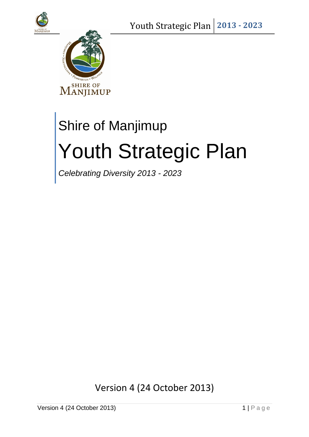



# Shire of Manjimup Youth Strategic Plan

*Celebrating Diversity 2013 - 2023*

Version 4 (24 October 2013)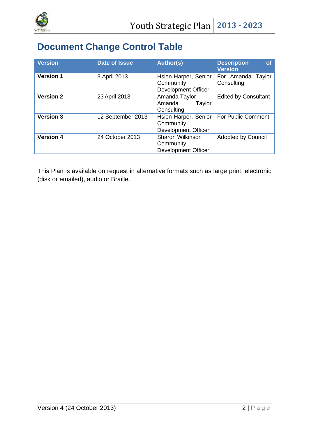

# **Document Change Control Table**

| <b>Version</b>   | <b>Date of Issue</b> | <b>Author(s)</b>                                                                   | <b>Description</b><br><b>of</b><br><b>Version</b> |
|------------------|----------------------|------------------------------------------------------------------------------------|---------------------------------------------------|
| <b>Version 1</b> | 3 April 2013         | Hsien Harper, Senior<br>Community<br><b>Development Officer</b>                    | For Amanda Taylor<br>Consulting                   |
| <b>Version 2</b> | 23 April 2013        | Amanda Taylor<br>Amanda<br>Taylor<br>Consulting                                    | <b>Edited by Consultant</b>                       |
| <b>Version 3</b> | 12 September 2013    | Hsien Harper, Senior For Public Comment<br>Community<br><b>Development Officer</b> |                                                   |
| <b>Version 4</b> | 24 October 2013      | <b>Sharon Wilkinson</b><br>Community<br><b>Development Officer</b>                 | <b>Adopted by Council</b>                         |

This Plan is available on request in alternative formats such as large print, electronic (disk or emailed), audio or Braille.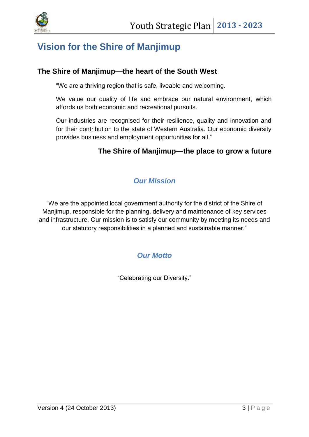

# <span id="page-2-0"></span>**Vision for the Shire of Manjimup**

### **The Shire of Manjimup—the heart of the South West**

"We are a thriving region that is safe, liveable and welcoming.

We value our quality of life and embrace our natural environment, which affords us both economic and recreational pursuits.

Our industries are recognised for their resilience, quality and innovation and for their contribution to the state of Western Australia. Our economic diversity provides business and employment opportunities for all."

# **The Shire of Manjimup—the place to grow a future**

# *Our Mission*

<span id="page-2-2"></span><span id="page-2-1"></span>"We are the appointed local government authority for the district of the Shire of Manjimup, responsible for the planning, delivery and maintenance of key services and infrastructure. Our mission is to satisfy our community by meeting its needs and our statutory responsibilities in a planned and sustainable manner."

# *Our Motto*

"Celebrating our Diversity."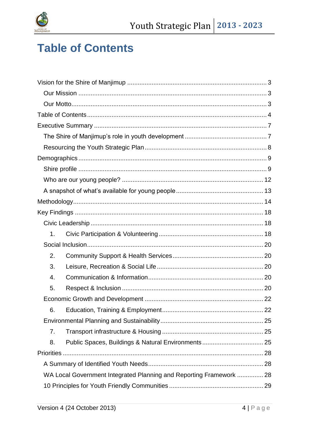

# <span id="page-3-0"></span>**Table of Contents**

| 1.                                                                  |  |
|---------------------------------------------------------------------|--|
|                                                                     |  |
| 2.                                                                  |  |
| 3.                                                                  |  |
| 4.                                                                  |  |
| 5.                                                                  |  |
|                                                                     |  |
| 6.                                                                  |  |
|                                                                     |  |
| 7.                                                                  |  |
| Public Spaces, Buildings & Natural Environments 25<br>8.            |  |
|                                                                     |  |
|                                                                     |  |
| WA Local Government Integrated Planning and Reporting Framework  28 |  |
|                                                                     |  |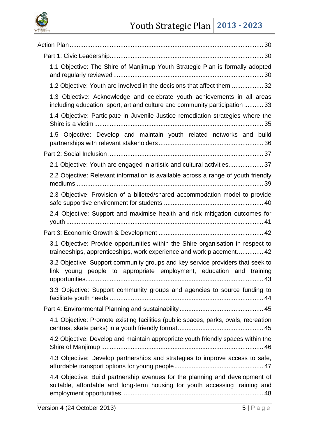

| 1.1 Objective: The Shire of Manjimup Youth Strategic Plan is formally adopted                                                                               |
|-------------------------------------------------------------------------------------------------------------------------------------------------------------|
| 1.2 Objective: Youth are involved in the decisions that affect them  32                                                                                     |
| 1.3 Objective: Acknowledge and celebrate youth achievements in all areas<br>including education, sport, art and culture and community participation  33     |
| 1.4 Objective: Participate in Juvenile Justice remediation strategies where the                                                                             |
| 1.5 Objective: Develop and maintain youth related networks and build                                                                                        |
|                                                                                                                                                             |
| 2.1 Objective: Youth are engaged in artistic and cultural activities 37                                                                                     |
| 2.2 Objective: Relevant information is available across a range of youth friendly                                                                           |
| 2.3 Objective: Provision of a billeted/shared accommodation model to provide                                                                                |
| 2.4 Objective: Support and maximise health and risk mitigation outcomes for                                                                                 |
|                                                                                                                                                             |
| 3.1 Objective: Provide opportunities within the Shire organisation in respect to<br>traineeships, apprenticeships, work experience and work placement 42    |
| 3.2 Objective: Support community groups and key service providers that seek to<br>link young people to appropriate employment, education and training       |
| 3.3 Objective: Support community groups and agencies to source funding to                                                                                   |
|                                                                                                                                                             |
| 4.1 Objective: Promote existing facilities (public spaces, parks, ovals, recreation                                                                         |
| 4.2 Objective: Develop and maintain appropriate youth friendly spaces within the                                                                            |
| 4.3 Objective: Develop partnerships and strategies to improve access to safe,                                                                               |
| 4.4 Objective: Build partnership avenues for the planning and development of<br>suitable, affordable and long-term housing for youth accessing training and |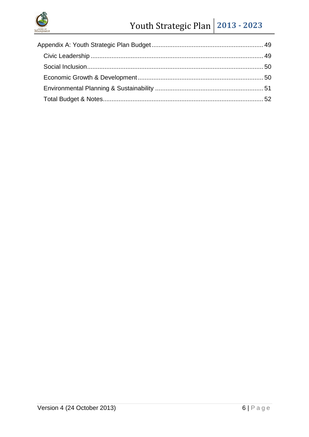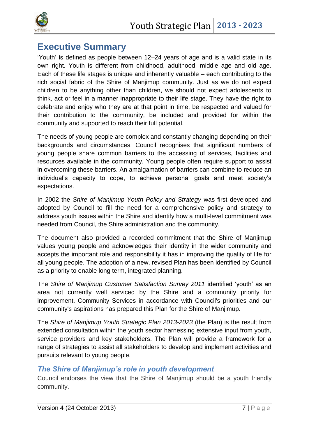



# <span id="page-6-0"></span>**Executive Summary**

'Youth' is defined as people between 12–24 years of age and is a valid state in its own right. Youth is different from childhood, adulthood, middle age and old age. Each of these life stages is unique and inherently valuable – each contributing to the rich social fabric of the Shire of Manjimup community. Just as we do not expect children to be anything other than children, we should not expect adolescents to think, act or feel in a manner inappropriate to their life stage. They have the right to celebrate and enjoy who they are at that point in time, be respected and valued for their contribution to the community, be included and provided for within the community and supported to reach their full potential.

The needs of young people are complex and constantly changing depending on their backgrounds and circumstances. Council recognises that significant numbers of young people share common barriers to the accessing of services, facilities and resources available in the community. Young people often require support to assist in overcoming these barriers. An amalgamation of barriers can combine to reduce an individual's capacity to cope, to achieve personal goals and meet society's expectations.

In 2002 the *Shire of Manjimup Youth Policy and Strategy* was first developed and adopted by Council to fill the need for a comprehensive policy and strategy to address youth issues within the Shire and identify how a multi-level commitment was needed from Council, the Shire administration and the community.

The document also provided a recorded commitment that the Shire of Manjimup values young people and acknowledges their identity in the wider community and accepts the important role and responsibility it has in improving the quality of life for all young people. The adoption of a new, revised Plan has been identified by Council as a priority to enable long term, integrated planning.

The *Shire of Manjimup Customer Satisfaction Survey 2011* identified 'youth' as an area not currently well serviced by the Shire and a community priority for improvement. Community Services in accordance with Council's priorities and our community's aspirations has prepared this Plan for the Shire of Manjimup.

The *Shire of Manjimup Youth Strategic Plan 2013-2023* (the Plan) is the result from extended consultation within the youth sector harnessing extensive input from youth, service providers and key stakeholders. The Plan will provide a framework for a range of strategies to assist all stakeholders to develop and implement activities and pursuits relevant to young people.

# <span id="page-6-1"></span>*The Shire of Manjimup's role in youth development*

Council endorses the view that the Shire of Manjimup should be a youth friendly community.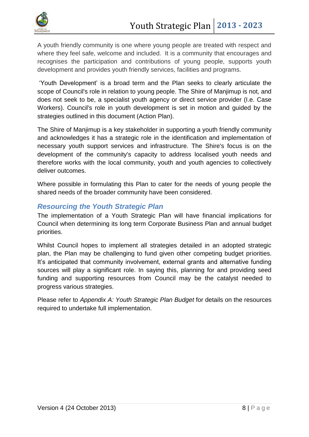

A youth friendly community is one where young people are treated with respect and where they feel safe, welcome and included. It is a community that encourages and recognises the participation and contributions of young people, supports youth development and provides youth friendly services, facilities and programs.

'Youth Development' is a broad term and the Plan seeks to clearly articulate the scope of Council's role in relation to young people. The Shire of Manjimup is not, and does not seek to be, a specialist youth agency or direct service provider (I.e. Case Workers). Council's role in youth development is set in motion and guided by the strategies outlined in this document (Action Plan).

The Shire of Manjimup is a key stakeholder in supporting a youth friendly community and acknowledges it has a strategic role in the identification and implementation of necessary youth support services and infrastructure. The Shire's focus is on the development of the community's capacity to address localised youth needs and therefore works with the local community, youth and youth agencies to collectively deliver outcomes.

Where possible in formulating this Plan to cater for the needs of young people the shared needs of the broader community have been considered.

## <span id="page-7-0"></span>*Resourcing the Youth Strategic Plan*

The implementation of a Youth Strategic Plan will have financial implications for Council when determining its long term Corporate Business Plan and annual budget priorities.

Whilst Council hopes to implement all strategies detailed in an adopted strategic plan, the Plan may be challenging to fund given other competing budget priorities. It's anticipated that community involvement, external grants and alternative funding sources will play a significant role. In saying this, planning for and providing seed funding and supporting resources from Council may be the catalyst needed to progress various strategies.

<span id="page-7-1"></span>Please refer to *Appendix A: Youth Strategic Plan Budget* for details on the resources required to undertake full implementation.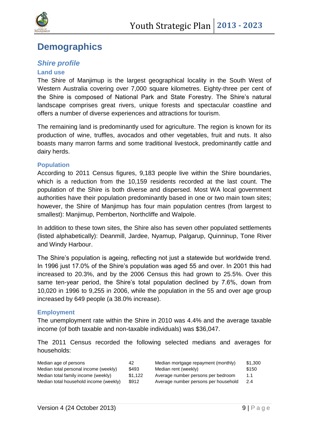

# **Demographics**

# <span id="page-8-0"></span>*Shire profile*

#### **Land use**

The Shire of Manjimup is the largest geographical locality in the South West of Western Australia covering over 7,000 square kilometres. Eighty-three per cent of the Shire is composed of National Park and State Forestry. The Shire's natural landscape comprises great rivers, unique forests and spectacular coastline and offers a number of diverse experiences and attractions for tourism.

The remaining land is predominantly used for agriculture. The region is known for its production of wine, truffles, avocados and other vegetables, fruit and nuts. It also boasts many marron farms and some traditional livestock, predominantly cattle and dairy herds.

#### **Population**

According to 2011 Census figures, 9,183 people live within the Shire boundaries, which is a reduction from the 10,159 residents recorded at the last count. The population of the Shire is both diverse and dispersed. Most WA local government authorities have their population predominantly based in one or two main town sites; however, the Shire of Manjimup has four main population centres (from largest to smallest): Manjimup, Pemberton, Northcliffe and Walpole.

In addition to these town sites, the Shire also has seven other populated settlements (listed alphabetically): Deanmill, Jardee, Nyamup, Palgarup, Quinninup, Tone River and Windy Harbour.

The Shire's population is ageing, reflecting not just a statewide but worldwide trend. In 1996 just 17.0% of the Shire's population was aged 55 and over. In 2001 this had increased to 20.3%, and by the 2006 Census this had grown to 25.5%. Over this same ten-year period, the Shire's total population declined by 7.6%, down from 10,020 in 1996 to 9,255 in 2006, while the population in the 55 and over age group increased by 649 people (a 38.0% increase).

#### **Employment**

The unemployment rate within the Shire in 2010 was 4.4% and the average taxable income (of both taxable and non-taxable individuals) was \$36,047.

The 2011 Census recorded the following selected medians and averages for households:

| Median age of persons                  | 42      | Median mortgage repayment (monthly)  | \$1,300 |
|----------------------------------------|---------|--------------------------------------|---------|
| Median total personal income (weekly)  | \$493   | Median rent (weekly)                 | \$150   |
| Median total family income (weekly)    | \$1.122 | Average number persons per bedroom   | 1.1     |
| Median total household income (weekly) | \$912   | Average number persons per household | 2.4     |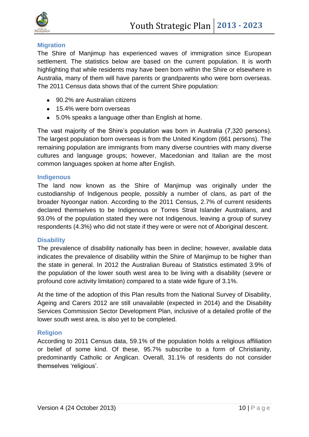

#### **Migration**

The Shire of Manjimup has experienced waves of immigration since European settlement. The statistics below are based on the current population. It is worth highlighting that while residents may have been born within the Shire or elsewhere in Australia, many of them will have parents or grandparents who were born overseas. The 2011 Census data shows that of the current Shire population:

- 90.2% are Australian citizens
- 15.4% were born overseas
- 5.0% speaks a language other than English at home.

The vast majority of the Shire's population was born in Australia (7,320 persons). The largest population born overseas is from the United Kingdom (661 persons). The remaining population are immigrants from many diverse countries with many diverse cultures and language groups; however, Macedonian and Italian are the most common languages spoken at home after English.

#### **Indigenous**

The land now known as the Shire of Manjimup was originally under the custodianship of Indigenous people, possibly a number of clans, as part of the broader Nyoongar nation. According to the 2011 Census, 2.7% of current residents declared themselves to be Indigenous or Torres Strait Islander Australians, and 93.0% of the population stated they were not Indigenous, leaving a group of survey respondents (4.3%) who did not state if they were or were not of Aboriginal descent.

#### **Disability**

The prevalence of disability nationally has been in decline; however, available data indicates the prevalence of disability within the Shire of Manjimup to be higher than the state in general. In 2012 the Australian Bureau of Statistics estimated 3.9% of the population of the lower south west area to be living with a disability (severe or profound core activity limitation) compared to a state wide figure of 3.1%.

At the time of the adoption of this Plan results from the National Survey of Disability, Ageing and Carers 2012 are still unavailable (expected in 2014) and the Disability Services Commission Sector Development Plan, inclusive of a detailed profile of the lower south west area, is also yet to be completed.

#### **Religion**

According to 2011 Census data, 59.1% of the population holds a religious affiliation or belief of some kind. Of these, 95.7% subscribe to a form of Christianity, predominantly Catholic or Anglican. Overall, 31.1% of residents do not consider themselves 'religious'.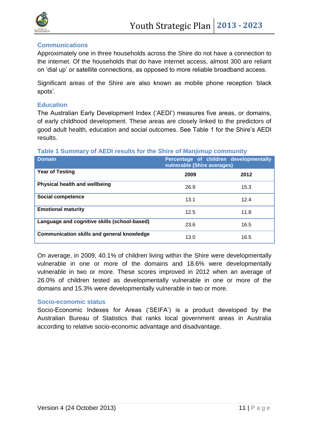

#### **Communications**

Approximately one in three households across the Shire do not have a connection to the internet. Of the households that do have internet access, almost 300 are reliant on 'dial up' or satellite connections, as opposed to more reliable broadband access.

Significant areas of the Shire are also known as mobile phone reception 'black spots'.

#### **Education**

The Australian Early Development Index ('AEDI') measures five areas, or domains, of early childhood development. These areas are closely linked to the predictors of good adult health, education and social outcomes. See Table 1 for the Shire's AEDI results.

#### **Table 1 Summary of AEDI results for the Shire of Manjimup community**

| <b>Domain</b>                                     | Percentage of children developmentally<br>vulnerable (Shire averages) |      |  |  |  |
|---------------------------------------------------|-----------------------------------------------------------------------|------|--|--|--|
| <b>Year of Testing</b>                            | 2009                                                                  | 2012 |  |  |  |
| <b>Physical health and wellbeing</b>              | 26.9                                                                  | 15.3 |  |  |  |
| Social competence                                 | 13.1                                                                  | 12.4 |  |  |  |
| <b>Emotional maturity</b>                         | 12.5                                                                  | 11.8 |  |  |  |
| Language and cognitive skills (school-based)      | 23.6                                                                  | 16.5 |  |  |  |
| <b>Communication skills and general knowledge</b> | 13.0                                                                  | 16.5 |  |  |  |

On average, in 2009, 40.1% of children living within the Shire were developmentally vulnerable in one or more of the domains and 18.6% were developmentally vulnerable in two or more. These scores improved in 2012 when an average of 26.0% of children tested as developmentally vulnerable in one or more of the domains and 15.3% were developmentally vulnerable in two or more.

#### **Socio-economic status**

Socio-Economic Indexes for Areas ('SEIFA') is a product developed by the Australian Bureau of Statistics that ranks local government areas in Australia according to relative socio-economic advantage and disadvantage.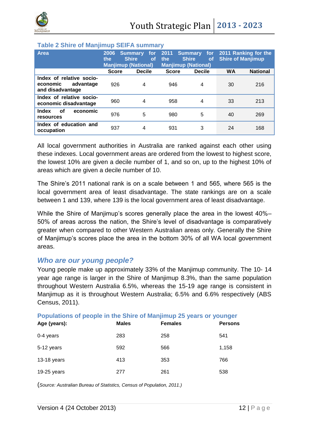

#### **Table 2 Shire of Manjimup SEIFA summary**

| Area                                                                  | 2006<br>the<br><b>Manjimup (National)</b> | <b>Summary</b><br>for<br><b>Shire</b><br>οf | 2011<br>the  | Summary for<br><b>Shire</b><br><b>of</b><br><b>Manjimup (National)</b> | <b>Shire of Manjimup</b> | 2011 Ranking for the |
|-----------------------------------------------------------------------|-------------------------------------------|---------------------------------------------|--------------|------------------------------------------------------------------------|--------------------------|----------------------|
|                                                                       | <b>Score</b>                              | <b>Decile</b>                               | <b>Score</b> | <b>Decile</b>                                                          | <b>WA</b>                | <b>National</b>      |
| Index of relative socio-<br>advantage<br>economic<br>and disadvantage | 926                                       | 4                                           | 946          | 4                                                                      | 30                       | 216                  |
| Index of relative socio-<br>economic disadvantage                     | 960                                       | 4                                           | 958          | 4                                                                      | 33                       | 213                  |
| economic<br>Index<br>οf<br>resources                                  | 976                                       | 5                                           | 980          | 5                                                                      | 40                       | 269                  |
| Index of education and<br>occupation                                  | 937                                       | 4                                           | 931          | 3                                                                      | 24                       | 168                  |

All local government authorities in Australia are ranked against each other using these indexes. Local government areas are ordered from the lowest to highest score, the lowest 10% are given a decile number of 1, and so on, up to the highest 10% of areas which are given a decile number of 10.

The Shire's 2011 national rank is on a scale between 1 and 565, where 565 is the local government area of least disadvantage. The state rankings are on a scale between 1 and 139, where 139 is the local government area of least disadvantage.

While the Shire of Manjimup's scores generally place the area in the lowest 40%– 50% of areas across the nation, the Shire's level of disadvantage is comparatively greater when compared to other Western Australian areas only. Generally the Shire of Manjimup's scores place the area in the bottom 30% of all WA local government areas.

#### <span id="page-11-0"></span>*Who are our young people?*

Young people make up approximately 33% of the Manjimup community. The 10- 14 year age range is larger in the Shire of Manjimup 8.3%, than the same population throughout Western Australia 6.5%, whereas the 15-19 age range is consistent in Manjimup as it is throughout Western Australia; 6.5% and 6.6% respectively (ABS Census, 2011).

| <b>I Opulations of people in the office of manifinal zu years of younger</b><br>Age (years): | <b>Males</b> | <b>Females</b> | <b>Persons</b> |
|----------------------------------------------------------------------------------------------|--------------|----------------|----------------|
| $0-4$ years                                                                                  | 283          | 258            | 541            |
| 5-12 years                                                                                   | 592          | 566            | 1,158          |
| $13-18$ years                                                                                | 413          | 353            | 766            |
| 19-25 years                                                                                  | 277          | 261            | 538            |

**Populations of people in the Shire of Manjimup 25 years or younger**

(*Source: Australian Bureau of Statistics, Census of Population, 2011.)*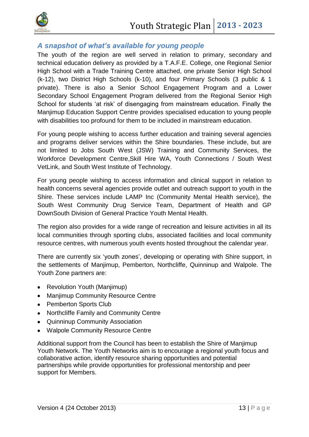

## <span id="page-12-0"></span>*A snapshot of what's available for young people*

The youth of the region are well served in relation to primary, secondary and technical education delivery as provided by a T.A.F.E. College, one Regional Senior High School with a Trade Training Centre attached, one private Senior High School (k-12), two District High Schools (k-10), and four Primary Schools (3 public & 1 private). There is also a Senior School Engagement Program and a Lower Secondary School Engagement Program delivered from the Regional Senior High School for students 'at risk' of disengaging from mainstream education. Finally the Manjimup Education Support Centre provides specialised education to young people with disabilities too profound for them to be included in mainstream education.

For young people wishing to access further education and training several agencies and programs deliver services within the Shire boundaries. These include, but are not limited to Jobs South West (JSW) Training and Community Services, the Workforce Development Centre,Skill Hire WA, Youth Connections / South West VetLink, and South West Institute of Technology.

For young people wishing to access information and clinical support in relation to health concerns several agencies provide outlet and outreach support to youth in the Shire. These services include LAMP Inc (Community Mental Health service), the South West Community Drug Service Team, Department of Health and GP DownSouth Division of General Practice Youth Mental Health.

The region also provides for a wide range of recreation and leisure activities in all its local communities through sporting clubs, associated facilities and local community resource centres, with numerous youth events hosted throughout the calendar year.

There are currently six 'youth zones', developing or operating with Shire support, in the settlements of Manjimup, Pemberton, Northcliffe, Quinninup and Walpole. The Youth Zone partners are:

- Revolution Youth (Manjimup)
- Manjimup Community Resource Centre
- Pemberton Sports Club
- Northcliffe Family and Community Centre
- Quinninup Community Association
- Walpole Community Resource Centre

Additional support from the Council has been to establish the Shire of Manjimup Youth Network. The Youth Networks aim is to encourage a regional youth focus and collaborative action, identify resource sharing opportunities and potential partnerships while provide opportunities for professional mentorship and peer support for Members.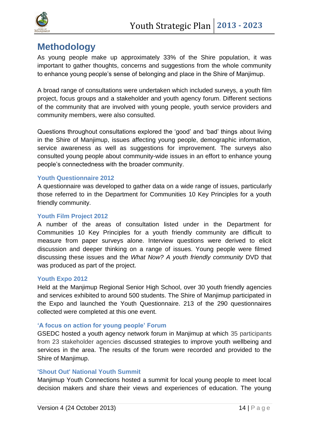

# <span id="page-13-0"></span>**Methodology**

As young people make up approximately 33% of the Shire population, it was important to gather thoughts, concerns and suggestions from the whole community to enhance young people's sense of belonging and place in the Shire of Manjimup.

A broad range of consultations were undertaken which included surveys, a youth film project, focus groups and a stakeholder and youth agency forum. Different sections of the community that are involved with young people, youth service providers and community members, were also consulted.

Questions throughout consultations explored the 'good' and 'bad' things about living in the Shire of Manjimup, issues affecting young people, demographic information, service awareness as well as suggestions for improvement. The surveys also consulted young people about community-wide issues in an effort to enhance young people's connectedness with the broader community.

#### **Youth Questionnaire 2012**

A questionnaire was developed to gather data on a wide range of issues, particularly those referred to in the Department for Communities 10 Key Principles for a youth friendly community.

#### **Youth Film Project 2012**

A number of the areas of consultation listed under in the Department for Communities 10 Key Principles for a youth friendly community are difficult to measure from paper surveys alone. Interview questions were derived to elicit discussion and deeper thinking on a range of issues. Young people were filmed discussing these issues and the *What Now? A youth friendly community* DVD that was produced as part of the project.

#### **Youth Expo 2012**

Held at the Manjimup Regional Senior High School, over 30 youth friendly agencies and services exhibited to around 500 students. The Shire of Manjimup participated in the Expo and launched the Youth Questionnaire. 213 of the 290 questionnaires collected were completed at this one event.

#### **'A focus on action for young people' Forum**

GSEDC hosted a youth agency network forum in Manjimup at which 35 participants from 23 stakeholder agencies discussed strategies to improve youth wellbeing and services in the area. The results of the forum were recorded and provided to the Shire of Manjimup.

#### **'Shout Out' National Youth Summit**

Manjimup Youth Connections hosted a summit for local young people to meet local decision makers and share their views and experiences of education. The young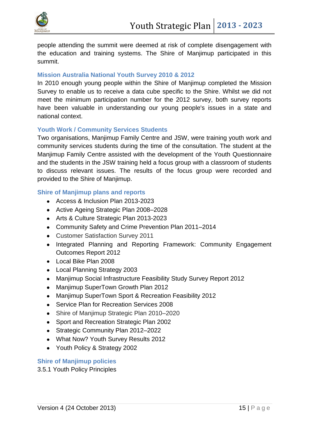

people attending the summit were deemed at risk of complete disengagement with the education and training systems. The Shire of Manjimup participated in this summit.

#### **Mission Australia National Youth Survey 2010 & 2012**

In 2010 enough young people within the Shire of Manjimup completed the Mission Survey to enable us to receive a data cube specific to the Shire. Whilst we did not meet the minimum participation number for the 2012 survey, both survey reports have been valuable in understanding our young people's issues in a state and national context.

#### **Youth Work / Community Services Students**

Two organisations, Manjimup Family Centre and JSW, were training youth work and community services students during the time of the consultation. The student at the Manjimup Family Centre assisted with the development of the Youth Questionnaire and the students in the JSW training held a focus group with a classroom of students to discuss relevant issues. The results of the focus group were recorded and provided to the Shire of Manjimup.

#### **Shire of Manjimup plans and reports**

- Access & Inclusion Plan 2013-2023
- Active Ageing Strategic Plan 2008–2028
- Arts & Culture Strategic Plan 2013-2023
- Community Safety and Crime Prevention Plan 2011–2014
- Customer Satisfaction Survey 2011
- Integrated Planning and Reporting Framework: Community Engagement Outcomes Report 2012
- Local Bike Plan 2008
- Local Planning Strategy 2003
- Manjimup Social Infrastructure Feasibility Study Survey Report 2012
- Manjimup SuperTown Growth Plan 2012
- Manjimup SuperTown Sport & Recreation Feasibility 2012
- Service Plan for Recreation Services 2008  $\bullet$
- Shire of Manjimup Strategic Plan 2010–2020
- Sport and Recreation Strategic Plan 2002
- Strategic Community Plan 2012–2022
- What Now? Youth Survey Results 2012
- Youth Policy & Strategy 2002

#### **Shire of Manjimup policies**

3.5.1 Youth Policy Principles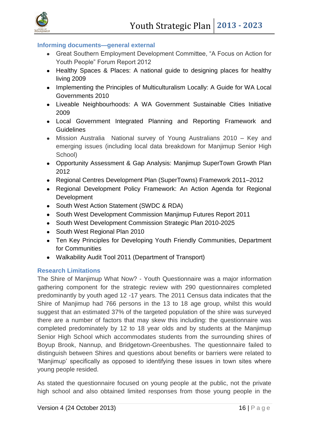



#### **Informing documents—general external**

- Great Southern Employment Development Committee, "A Focus on Action for Youth People" Forum Report 2012
- Healthy Spaces & Places: A national guide to designing places for healthy living 2009
- Implementing the Principles of Multiculturalism Locally: A Guide for WA Local Governments 2010
- Liveable Neighbourhoods: A WA Government Sustainable Cities Initiative 2009
- Local Government Integrated Planning and Reporting Framework and **Guidelines**
- Mission Australia National survey of Young Australians 2010 Key and emerging issues (including local data breakdown for Manjimup Senior High School)
- Opportunity Assessment & Gap Analysis: Manjimup SuperTown Growth Plan 2012
- Regional Centres Development Plan (SuperTowns) Framework 2011–2012
- Regional Development Policy Framework: An Action Agenda for Regional **Development**
- South West Action Statement (SWDC & RDA)
- South West Development Commission Manjimup Futures Report 2011
- South West Development Commission Strategic Plan 2010-2025
- South West Regional Plan 2010
- Ten Key Principles for Developing Youth Friendly Communities, Department for Communities
- Walkability Audit Tool 2011 (Department of Transport)

#### **Research Limitations**

The Shire of Manjimup What Now? - Youth Questionnaire was a major information gathering component for the strategic review with 290 questionnaires completed predominantly by youth aged 12 -17 years. The 2011 Census data indicates that the Shire of Manjimup had 766 persons in the 13 to 18 age group, whilst this would suggest that an estimated 37% of the targeted population of the shire was surveyed there are a number of factors that may skew this including: the questionnaire was completed predominately by 12 to 18 year olds and by students at the Manjimup Senior High School which accommodates students from the surrounding shires of Boyup Brook, Nannup, and Bridgetown-Greenbushes. The questionnaire failed to distinguish between Shires and questions about benefits or barriers were related to 'Manjimup' specifically as opposed to identifying these issues in town sites where young people resided.

As stated the questionnaire focused on young people at the public, not the private high school and also obtained limited responses from those young people in the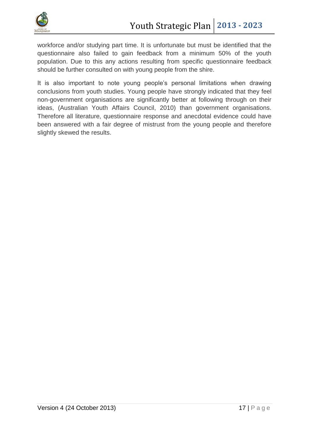

workforce and/or studying part time. It is unfortunate but must be identified that the questionnaire also failed to gain feedback from a minimum 50% of the youth population. Due to this any actions resulting from specific questionnaire feedback should be further consulted on with young people from the shire.

It is also important to note young people's personal limitations when drawing conclusions from youth studies. Young people have strongly indicated that they feel non-government organisations are significantly better at following through on their ideas, (Australian Youth Affairs Council, 2010) than government organisations. Therefore all literature, questionnaire response and anecdotal evidence could have been answered with a fair degree of mistrust from the young people and therefore slightly skewed the results.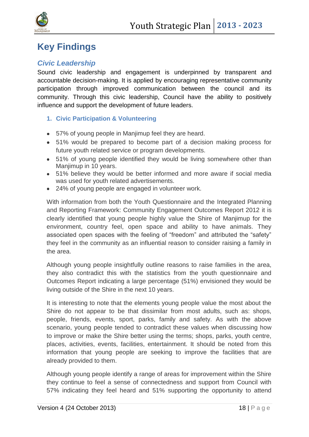

# <span id="page-17-0"></span>**Key Findings**

# <span id="page-17-1"></span>*Civic Leadership*

Sound civic leadership and engagement is underpinned by transparent and accountable decision-making. It is applied by encouraging representative community participation through improved communication between the council and its community. Through this civic leadership, Council have the ability to positively influence and support the development of future leaders.

- <span id="page-17-2"></span>**1. Civic Participation & Volunteering**
- 57% of young people in Manjimup feel they are heard.
- 51% would be prepared to become part of a decision making process for future youth related service or program developments.
- 51% of young people identified they would be living somewhere other than Manjimup in 10 years.
- 51% believe they would be better informed and more aware if social media was used for youth related advertisements.
- 24% of young people are engaged in volunteer work.

With information from both the Youth Questionnaire and the Integrated Planning and Reporting Framework: Community Engagement Outcomes Report 2012 it is clearly identified that young people highly value the Shire of Manjimup for the environment, country feel, open space and ability to have animals. They associated open spaces with the feeling of "freedom" and attributed the "safety" they feel in the community as an influential reason to consider raising a family in the area.

Although young people insightfully outline reasons to raise families in the area, they also contradict this with the statistics from the youth questionnaire and Outcomes Report indicating a large percentage (51%) envisioned they would be living outside of the Shire in the next 10 years.

It is interesting to note that the elements young people value the most about the Shire do not appear to be that dissimilar from most adults, such as: shops, people, friends, events, sport, parks, family and safety. As with the above scenario, young people tended to contradict these values when discussing how to improve or make the Shire better using the terms; shops, parks, youth centre, places, activities, events, facilities, entertainment. It should be noted from this information that young people are seeking to improve the facilities that are already provided to them.

Although young people identify a range of areas for improvement within the Shire they continue to feel a sense of connectedness and support from Council with 57% indicating they feel heard and 51% supporting the opportunity to attend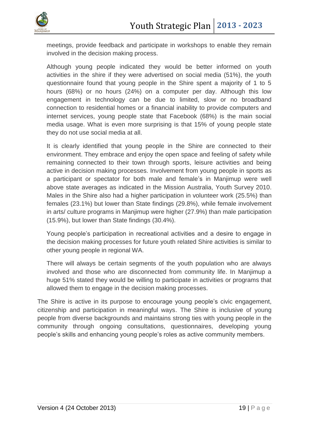

meetings, provide feedback and participate in workshops to enable they remain involved in the decision making process.

Although young people indicated they would be better informed on youth activities in the shire if they were advertised on social media (51%), the youth questionnaire found that young people in the Shire spent a majority of 1 to 5 hours (68%) or no hours (24%) on a computer per day. Although this low engagement in technology can be due to limited, slow or no broadband connection to residential homes or a financial inability to provide computers and internet services, young people state that Facebook (68%) is the main social media usage. What is even more surprising is that 15% of young people state they do not use social media at all.

It is clearly identified that young people in the Shire are connected to their environment. They embrace and enjoy the open space and feeling of safety while remaining connected to their town through sports, leisure activities and being active in decision making processes. Involvement from young people in sports as a participant or spectator for both male and female's in Manjimup were well above state averages as indicated in the Mission Australia, Youth Survey 2010. Males in the Shire also had a higher participation in volunteer work (25.5%) than females (23.1%) but lower than State findings (29.8%), while female involvement in arts/ culture programs in Manjimup were higher (27.9%) than male participation (15.9%), but lower than State findings (30.4%).

Young people's participation in recreational activities and a desire to engage in the decision making processes for future youth related Shire activities is similar to other young people in regional WA.

There will always be certain segments of the youth population who are always involved and those who are disconnected from community life. In Manjimup a huge 51% stated they would be willing to participate in activities or programs that allowed them to engage in the decision making processes.

The Shire is active in its purpose to encourage young people's civic engagement, citizenship and participation in meaningful ways. The Shire is inclusive of young people from diverse backgrounds and maintains strong ties with young people in the community through ongoing consultations, questionnaires, developing young people's skills and enhancing young people's roles as active community members.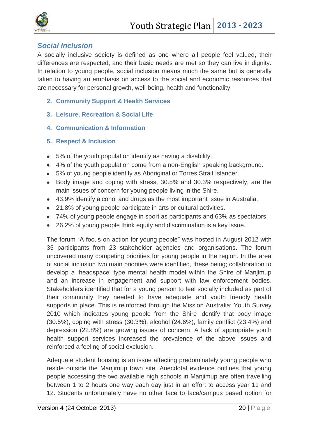

## <span id="page-19-0"></span>*Social Inclusion*

A socially inclusive society is defined as one where all people feel valued, their differences are respected, and their basic needs are met so they can live in dignity. In relation to young people, social inclusion means much the same but is generally taken to having an emphasis on access to the social and economic resources that are necessary for personal growth, well-being, health and functionality.

- <span id="page-19-1"></span>**2. Community Support & Health Services**
- <span id="page-19-2"></span>**3. Leisure, Recreation & Social Life**
- <span id="page-19-3"></span>**4. Communication & Information**
- <span id="page-19-4"></span>**5. Respect & Inclusion**
- 5% of the youth population identify as having a disability.
- 4% of the youth population come from a non-English speaking background.
- 5% of young people identify as Aboriginal or Torres Strait Islander.
- Body image and coping with stress, 30.5% and 30.3% respectively, are the main issues of concern for young people living in the Shire.
- 43.9% identify alcohol and drugs as the most important issue in Australia.
- 21.8% of young people participate in arts or cultural activities.
- 74% of young people engage in sport as participants and 63% as spectators.
- 26.2% of young people think equity and discrimination is a key issue.  $\bullet$

The forum "A focus on action for young people" was hosted in August 2012 with 35 participants from 23 stakeholder agencies and organisations. The forum uncovered many competing priorities for young people in the region. In the area of social inclusion two main priorities were identified, these being; collaboration to develop a 'headspace' type mental health model within the Shire of Manjimup and an increase in engagement and support with law enforcement bodies. Stakeholders identified that for a young person to feel socially included as part of their community they needed to have adequate and youth friendly health supports in place. This is reinforced through the Mission Australia: Youth Survey 2010 which indicates young people from the Shire identify that body image (30.5%), coping with stress (30.3%), alcohol (24.6%), family conflict (23.4%) and depression (22.8%) are growing issues of concern. A lack of appropriate youth health support services increased the prevalence of the above issues and reinforced a feeling of social exclusion.

Adequate student housing is an issue affecting predominately young people who reside outside the Manjimup town site. Anecdotal evidence outlines that young people accessing the two available high schools in Manjimup are often travelling between 1 to 2 hours one way each day just in an effort to access year 11 and 12. Students unfortunately have no other face to face/campus based option for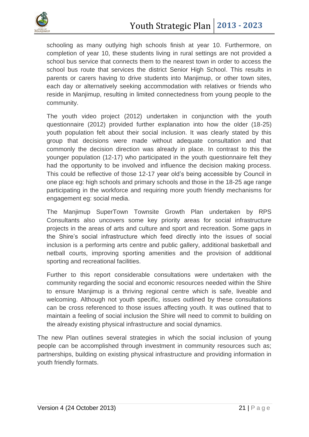

schooling as many outlying high schools finish at year 10. Furthermore, on completion of year 10, these students living in rural settings are not provided a school bus service that connects them to the nearest town in order to access the school bus route that services the district Senior High School. This results in parents or carers having to drive students into Manjimup, or other town sites, each day or alternatively seeking accommodation with relatives or friends who reside in Manjimup, resulting in limited connectedness from young people to the community.

The youth video project (2012) undertaken in conjunction with the youth questionnaire (2012) provided further explanation into how the older (18-25) youth population felt about their social inclusion. It was clearly stated by this group that decisions were made without adequate consultation and that commonly the decision direction was already in place. In contrast to this the younger population (12-17) who participated in the youth questionnaire felt they had the opportunity to be involved and influence the decision making process. This could be reflective of those 12-17 year old's being accessible by Council in one place eg: high schools and primary schools and those in the 18-25 age range participating in the workforce and requiring more youth friendly mechanisms for engagement eg: social media.

The Manjimup SuperTown Townsite Growth Plan undertaken by RPS Consultants also uncovers some key priority areas for social infrastructure projects in the areas of arts and culture and sport and recreation. Some gaps in the Shire's social infrastructure which feed directly into the issues of social inclusion is a performing arts centre and public gallery, additional basketball and netball courts, improving sporting amenities and the provision of additional sporting and recreational facilities.

Further to this report considerable consultations were undertaken with the community regarding the social and economic resources needed within the Shire to ensure Manjimup is a thriving regional centre which is safe, liveable and welcoming. Although not youth specific, issues outlined by these consultations can be cross referenced to those issues affecting youth. It was outlined that to maintain a feeling of social inclusion the Shire will need to commit to building on the already existing physical infrastructure and social dynamics.

The new Plan outlines several strategies in which the social inclusion of young people can be accomplished through investment in community resources such as; partnerships, building on existing physical infrastructure and providing information in youth friendly formats.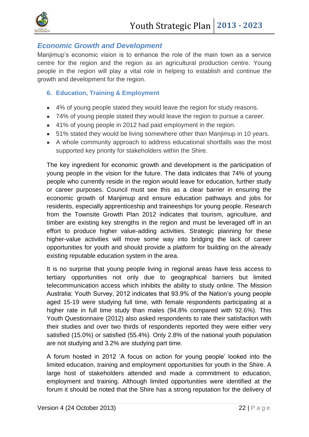

## <span id="page-21-0"></span>*Economic Growth and Development*

Manjimup's economic vision is to enhance the role of the main town as a service centre for the region and the region as an agricultural production centre. Young people in the region will play a vital role in helping to establish and continue the growth and development for the region.

#### <span id="page-21-1"></span>**6. Education, Training & Employment**

- 4% of young people stated they would leave the region for study reasons.
- 74% of young people stated they would leave the region to pursue a career.
- 41% of young people in 2012 had paid employment in the region.
- 51% stated they would be living somewhere other than Manjimup in 10 years.
- A whole community approach to address educational shortfalls was the most supported key priority for stakeholders within the Shire.

The key ingredient for economic growth and development is the participation of young people in the vision for the future. The data indicates that 74% of young people who currently reside in the region would leave for education, further study or career purposes. Council must see this as a clear barrier in ensuring the economic growth of Manjimup and ensure education pathways and jobs for residents, especially apprenticeship and traineeships for young people. Research from the Townsite Growth Plan 2012 indicates that tourism, agriculture, and timber are existing key strengths in the region and must be leveraged off in an effort to produce higher value-adding activities. Strategic planning for these higher-value activities will move some way into bridging the lack of career opportunities for youth and should provide a platform for building on the already existing reputable education system in the area.

It is no surprise that young people living in regional areas have less access to tertiary opportunities not only due to geographical barriers but limited telecommunication access which inhibits the ability to study online. The Mission Australia: Youth Survey, 2012 indicates that 93.9% of the Nation's young people aged 15-19 were studying full time, with female respondents participating at a higher rate in full time study than males (94.8% compared with 92.6%). This Youth Questionnaire (2012) also asked respondents to rate their satisfaction with their studies and over two thirds of respondents reported they were either very satisfied (15.0%) or satisfied (55.4%). Only 2.8% of the national youth population are not studying and 3.2% are studying part time.

A forum hosted in 2012 'A focus on action for young people' looked into the limited education, training and employment opportunities for youth in the Shire. A large host of stakeholders attended and made a commitment to education, employment and training. Although limited opportunities were identified at the forum it should be noted that the Shire has a strong reputation for the delivery of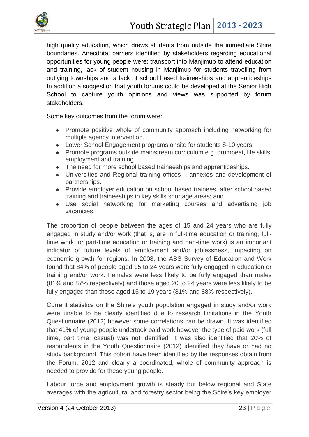

high quality education, which draws students from outside the immediate Shire boundaries. Anecdotal barriers identified by stakeholders regarding educational opportunities for young people were; transport into Manjimup to attend education and training, lack of student housing in Manjimup for students travelling from outlying townships and a lack of school based traineeships and apprenticeships In addition a suggestion that youth forums could be developed at the Senior High School to capture youth opinions and views was supported by forum stakeholders.

Some key outcomes from the forum were:

- Promote positive whole of community approach including networking for multiple agency intervention.
- Lower School Engagement programs onsite for students 8-10 years.
- Promote programs outside mainstream curriculum e.g. drumbeat, life skills employment and training.
- The need for more school based traineeships and apprenticeships.
- Universities and Regional training offices annexes and development of  $\bullet$ partnerships.
- Provide employer education on school based trainees, after school based training and traineeships in key skills shortage areas; and
- Use social networking for marketing courses and advertising job vacancies.

The proportion of people between the ages of 15 and 24 years who are fully engaged in study and/or work (that is, are in full-time education or training, fulltime work, or part-time education or training and part-time work) is an important indicator of future levels of employment and/or joblessness, impacting on economic growth for regions. In 2008, the ABS Survey of Education and Work found that 84% of people aged 15 to 24 years were fully engaged in education or training and/or work. Females were less likely to be fully engaged than males (81% and 87% respectively) and those aged 20 to 24 years were less likely to be fully engaged than those aged 15 to 19 years (81% and 88% respectively).

Current statistics on the Shire's youth population engaged in study and/or work were unable to be clearly identified due to research limitations in the Youth Questionnaire (2012) however some correlations can be drawn. It was identified that 41% of young people undertook paid work however the type of paid work (full time, part time, casual) was not identified. It was also identified that 20% of respondents in the Youth Questionnaire (2012) identified they have or had no study background. This cohort have been identified by the responses obtain from the Forum, 2012 and clearly a coordinated, whole of community approach is needed to provide for these young people.

Labour force and employment growth is steady but below regional and State averages with the agricultural and forestry sector being the Shire's key employer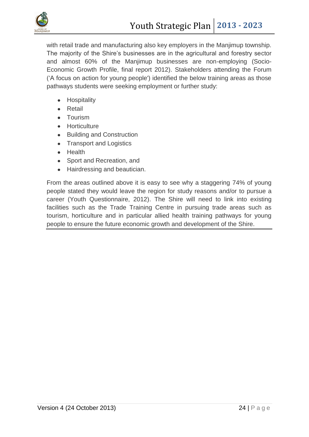

with retail trade and manufacturing also key employers in the Maniimup township. The majority of the Shire's businesses are in the agricultural and forestry sector and almost 60% of the Manjimup businesses are non-employing (Socio-Economic Growth Profile, final report 2012). Stakeholders attending the Forum ('A focus on action for young people') identified the below training areas as those pathways students were seeking employment or further study:

- Hospitality
- Retail
- **•** Tourism
- **•** Horticulture
- Building and Construction
- Transport and Logistics  $\bullet$
- Health
- Sport and Recreation, and
- Hairdressing and beautician.

From the areas outlined above it is easy to see why a staggering 74% of young people stated they would leave the region for study reasons and/or to pursue a career (Youth Questionnaire, 2012). The Shire will need to link into existing facilities such as the Trade Training Centre in pursuing trade areas such as tourism, horticulture and in particular allied health training pathways for young people to ensure the future economic growth and development of the Shire.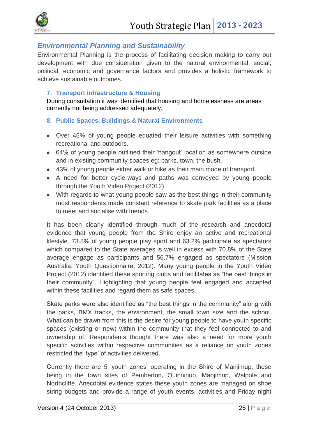

## <span id="page-24-0"></span>*Environmental Planning and Sustainability*

Environmental Planning is the process of facilitating decision making to carry out development with due consideration given to the natural environmental, social, political, economic and governance factors and provides a holistic framework to achieve sustainable outcomes.

#### <span id="page-24-1"></span>**7. Transport infrastructure & Housing**

During consultation it was identified that housing and homelessness are areas currently not being addressed adequately.

- <span id="page-24-2"></span>**8. Public Spaces, Buildings & Natural Environments**
- Over 45% of young people equated their leisure activities with something recreational and outdoors.
- 64% of young people outlined their 'hangout' location as somewhere outside and in existing community spaces eg: parks, town, the bush.
- 43% of young people either walk or bike as their main mode of transport.
- A need for better cycle-ways and paths was conveyed by young people through the Youth Video Project (2012).
- With regards to what young people saw as the best things in their community most respondents made constant reference to skate park facilities as a place to meet and socialise with friends.

It has been clearly identified through much of the research and anecdotal evidence that young people from the Shire enjoy an active and recreational lifestyle. 73.8% of young people play sport and 63.2% participate as spectators which compared to the State averages is well in excess with 70.8% of the State average engage as participants and 56.7% engaged as spectators (Mission Australia: Youth Questionnaire, 2012). Many young people in the Youth Video Project (2012) identified these sporting clubs and facilitates as "the best things in their community". Highlighting that young people feel engaged and accepted within these facilities and regard them as safe spaces.

Skate parks were also identified as "the best things in the community" along with the parks, BMX tracks, the environment, the small town size and the school. What can be drawn from this is the desire for young people to have youth specific spaces (existing or new) within the community that they feel connected to and ownership of. Respondents thought there was also a need for more youth specific activities within respective communities as a reliance on youth zones restricted the 'type' of activities delivered.

Currently there are 5 'youth zones' operating in the Shire of Manjimup, these being in the town sites of Pemberton, Quinninup, Manjimup, Walpole and Northcliffe. Anecdotal evidence states these youth zones are managed on shoe string budgets and provide a range of youth events, activities and Friday night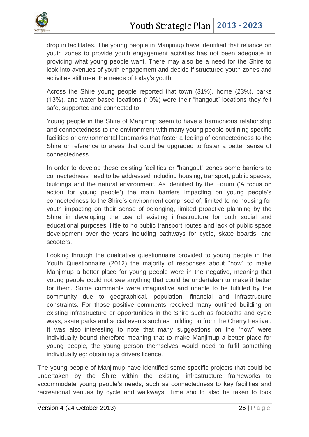

drop in facilitates. The young people in Manjimup have identified that reliance on youth zones to provide youth engagement activities has not been adequate in providing what young people want. There may also be a need for the Shire to look into avenues of youth engagement and decide if structured youth zones and activities still meet the needs of today's youth.

Across the Shire young people reported that town (31%), home (23%), parks (13%), and water based locations (10%) were their "hangout" locations they felt safe, supported and connected to.

Young people in the Shire of Manjimup seem to have a harmonious relationship and connectedness to the environment with many young people outlining specific facilities or environmental landmarks that foster a feeling of connectedness to the Shire or reference to areas that could be upgraded to foster a better sense of connectedness.

In order to develop these existing facilities or "hangout" zones some barriers to connectedness need to be addressed including housing, transport, public spaces, buildings and the natural environment. As identified by the Forum ('A focus on action for young people') the main barriers impacting on young people's connectedness to the Shire's environment comprised of; limited to no housing for youth impacting on their sense of belonging, limited proactive planning by the Shire in developing the use of existing infrastructure for both social and educational purposes, little to no public transport routes and lack of public space development over the years including pathways for cycle, skate boards, and scooters.

Looking through the qualitative questionnaire provided to young people in the Youth Questionnaire (2012) the majority of responses about "how" to make Manjimup a better place for young people were in the negative, meaning that young people could not see anything that could be undertaken to make it better for them. Some comments were imaginative and unable to be fulfilled by the community due to geographical, population, financial and infrastructure constraints. For those positive comments received many outlined building on existing infrastructure or opportunities in the Shire such as footpaths and cycle ways, skate parks and social events such as building on from the Cherry Festival. It was also interesting to note that many suggestions on the "how" were individually bound therefore meaning that to make Manjimup a better place for young people, the young person themselves would need to fulfil something individually eg: obtaining a drivers licence.

The young people of Manjimup have identified some specific projects that could be undertaken by the Shire within the existing infrastructure frameworks to accommodate young people's needs, such as connectedness to key facilities and recreational venues by cycle and walkways. Time should also be taken to look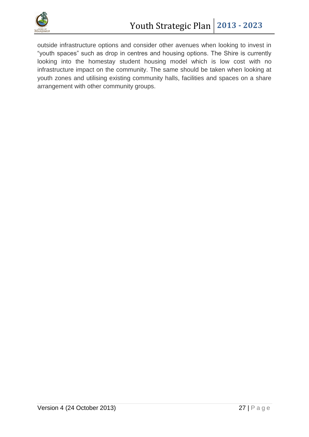

outside infrastructure options and consider other avenues when looking to invest in "youth spaces" such as drop in centres and housing options. The Shire is currently looking into the homestay student housing model which is low cost with no infrastructure impact on the community. The same should be taken when looking at youth zones and utilising existing community halls, facilities and spaces on a share arrangement with other community groups.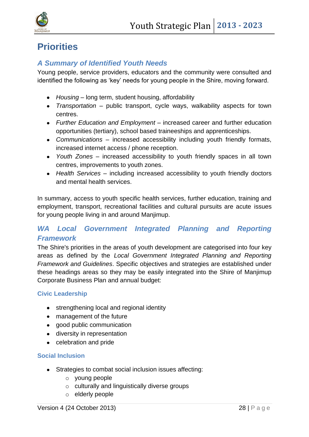

# <span id="page-27-0"></span>**Priorities**

## <span id="page-27-1"></span>*A Summary of Identified Youth Needs*

Young people, service providers, educators and the community were consulted and identified the following as 'key' needs for young people in the Shire, moving forward.

- *Housing* long term, student housing, affordability
- *Transportation* public transport, cycle ways, walkability aspects for town centres.
- *Further Education and Employment* increased career and further education opportunities (tertiary), school based traineeships and apprenticeships.
- *Communications* increased accessibility including youth friendly formats, increased internet access / phone reception.
- *Youth Zones* increased accessibility to youth friendly spaces in all town centres, improvements to youth zones.
- *Health Services*  including increased accessibility to youth friendly doctors and mental health services.

In summary, access to youth specific health services, further education, training and employment, transport, recreational facilities and cultural pursuits are acute issues for young people living in and around Manjimup.

# <span id="page-27-2"></span>**WA Local Government Integrated Planning and Reporting** *Framework*

The Shire's priorities in the areas of youth development are categorised into four key areas as defined by the *Local Government Integrated Planning and Reporting Framework and Guidelines*. Specific objectives and strategies are established under these headings areas so they may be easily integrated into the Shire of Manjimup Corporate Business Plan and annual budget:

#### **Civic Leadership**

- strengthening local and regional identity
- management of the future
- good public communication
- diversity in representation
- celebration and pride

#### **Social Inclusion**

- Strategies to combat social inclusion issues affecting:
	- o young people
	- o culturally and linguistically diverse groups
	- o elderly people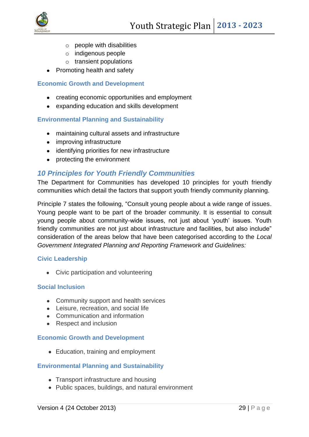

- o people with disabilities
- o indigenous people
- $\circ$  transient populations
- Promoting health and safety

#### **Economic Growth and Development**

- creating economic opportunities and employment
- expanding education and skills development

#### **Environmental Planning and Sustainability**

- maintaining cultural assets and infrastructure
- improving infrastructure
- identifying priorities for new infrastructure
- protecting the environment

#### <span id="page-28-0"></span>*10 Principles for Youth Friendly Communities*

The Department for Communities has developed 10 principles for youth friendly communities which detail the factors that support youth friendly community planning.

Principle 7 states the following, "Consult young people about a wide range of issues. Young people want to be part of the broader community. It is essential to consult young people about community-wide issues, not just about 'youth' issues. Youth friendly communities are not just about infrastructure and facilities, but also include" consideration of the areas below that have been categorised according to the *Local Government Integrated Planning and Reporting Framework and Guidelines:*

#### **Civic Leadership**

• Civic participation and volunteering

#### **Social Inclusion**

- Community support and health services
- Leisure, recreation, and social life
- Communication and information
- Respect and inclusion

#### **Economic Growth and Development**

• Education, training and employment

#### **Environmental Planning and Sustainability**

- Transport infrastructure and housing
- Public spaces, buildings, and natural environment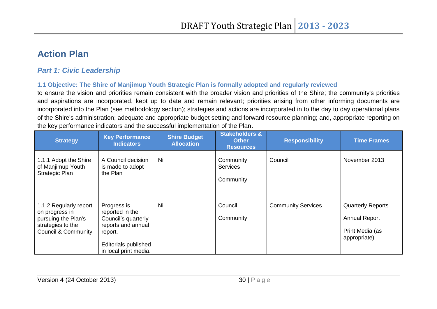# **Action Plan**

# *Part 1: Civic Leadership*

#### **1.1 Objective: The Shire of Manjimup Youth Strategic Plan is formally adopted and regularly reviewed**

to ensure the vision and priorities remain consistent with the broader vision and priorities of the Shire; the community's priorities and aspirations are incorporated, kept up to date and remain relevant; priorities arising from other informing documents are incorporated into the Plan (see methodology section); strategies and actions are incorporated in to the day to day operational plans of the Shire's administration; adequate and appropriate budget setting and forward resource planning; and, appropriate reporting on the key performance indicators and the successful implementation of the Plan.

<span id="page-29-2"></span><span id="page-29-1"></span><span id="page-29-0"></span>

| <b>Strategy</b>                                                                                                        | <b>Key Performance</b><br><b>Indicators</b>                                                                                                    | <b>Shire Budget</b><br><b>Allocation</b> | <b>Stakeholders &amp;</b><br><b>Other</b><br><b>Resources</b> | <b>Responsibility</b>     | <b>Time Frames</b>                                                                  |
|------------------------------------------------------------------------------------------------------------------------|------------------------------------------------------------------------------------------------------------------------------------------------|------------------------------------------|---------------------------------------------------------------|---------------------------|-------------------------------------------------------------------------------------|
| 1.1.1 Adopt the Shire<br>of Manjimup Youth<br>Strategic Plan                                                           | A Council decision<br>is made to adopt<br>the Plan                                                                                             | <b>Nil</b>                               | Community<br><b>Services</b><br>Community                     | Council                   | November 2013                                                                       |
| 1.1.2 Regularly report<br>on progress in<br>pursuing the Plan's<br>strategies to the<br><b>Council &amp; Community</b> | Progress is<br>reported in the<br>Council's quarterly<br>reports and annual<br>report.<br><b>Editorials published</b><br>in local print media. | Nil                                      | Council<br>Community                                          | <b>Community Services</b> | <b>Quarterly Reports</b><br><b>Annual Report</b><br>Print Media (as<br>appropriate) |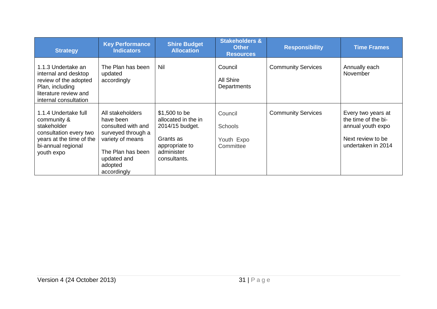| <b>Strategy</b>                                                                                                                              | <b>Key Performance</b><br><b>Indicators</b>                                                                                                                 | <b>Shire Budget</b><br><b>Allocation</b>                                                                             | <b>Stakeholders &amp;</b><br><b>Other</b><br><b>Resources</b> | <b>Responsibility</b>     | <b>Time Frames</b>                                                                                        |
|----------------------------------------------------------------------------------------------------------------------------------------------|-------------------------------------------------------------------------------------------------------------------------------------------------------------|----------------------------------------------------------------------------------------------------------------------|---------------------------------------------------------------|---------------------------|-----------------------------------------------------------------------------------------------------------|
| 1.1.3 Undertake an<br>internal and desktop<br>review of the adopted<br>Plan, including<br>literature review and<br>internal consultation     | The Plan has been<br>updated<br>accordingly                                                                                                                 | <b>Nil</b>                                                                                                           | Council<br>All Shire<br>Departments                           | <b>Community Services</b> | Annually each<br>November                                                                                 |
| 1.1.4 Undertake full<br>community &<br>stakeholder<br>consultation every two<br>years at the time of the<br>bi-annual regional<br>youth expo | All stakeholders<br>have been<br>consulted with and<br>surveyed through a<br>variety of means<br>The Plan has been<br>updated and<br>adopted<br>accordingly | \$1,500 to be<br>allocated in the in<br>2014/15 budget.<br>Grants as<br>appropriate to<br>administer<br>consultants. | Council<br><b>Schools</b><br>Youth Expo<br>Committee          | <b>Community Services</b> | Every two years at<br>the time of the bi-<br>annual youth expo<br>Next review to be<br>undertaken in 2014 |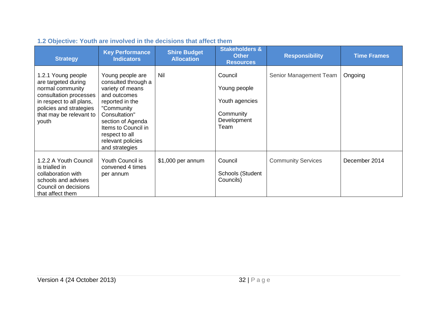<span id="page-31-0"></span>

| <b>Strategy</b>                                                                                                                                                                    | <b>Key Performance</b><br><b>Indicators</b>                                                                                                                                                                                        | <b>Shire Budget</b><br><b>Allocation</b> | <b>Stakeholders &amp;</b><br><b>Other</b><br><b>Resources</b>                 | <b>Responsibility</b>     | <b>Time Frames</b> |
|------------------------------------------------------------------------------------------------------------------------------------------------------------------------------------|------------------------------------------------------------------------------------------------------------------------------------------------------------------------------------------------------------------------------------|------------------------------------------|-------------------------------------------------------------------------------|---------------------------|--------------------|
| 1.2.1 Young people<br>are targeted during<br>normal community<br>consultation processes<br>in respect to all plans,<br>policies and strategies<br>that may be relevant to<br>youth | Young people are<br>consulted through a<br>variety of means<br>and outcomes<br>reported in the<br>"Community<br>Consultation"<br>section of Agenda<br>Items to Council in<br>respect to all<br>relevant policies<br>and strategies | Nil                                      | Council<br>Young people<br>Youth agencies<br>Community<br>Development<br>Team | Senior Management Team    | Ongoing            |
| 1.2.2 A Youth Council<br>is trialled in<br>collaboration with<br>schools and advises<br>Council on decisions<br>that affect them                                                   | <b>Youth Council is</b><br>convened 4 times<br>per annum                                                                                                                                                                           | \$1,000 per annum                        | Council<br>Schools (Student<br>Councils)                                      | <b>Community Services</b> | December 2014      |

# **1.2 Objective: Youth are involved in the decisions that affect them**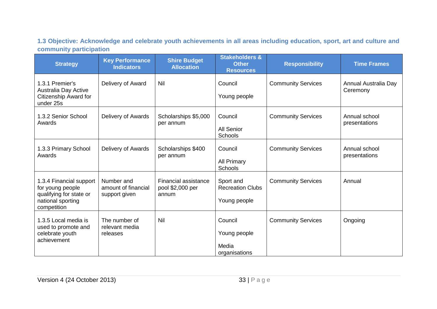**1.3 Objective: Acknowledge and celebrate youth achievements in all areas including education, sport, art and culture and community participation**

<span id="page-32-0"></span>

| <b>Strategy</b>                                                                                            | <b>Key Performance</b><br><b>Indicators</b>        | <b>Shire Budget</b><br><b>Allocation</b>                 | <b>Stakeholders &amp;</b><br><b>Other</b><br><b>Resources</b> | <b>Responsibility</b>     | <b>Time Frames</b>               |
|------------------------------------------------------------------------------------------------------------|----------------------------------------------------|----------------------------------------------------------|---------------------------------------------------------------|---------------------------|----------------------------------|
| 1.3.1 Premier's<br>Australia Day Active<br>Citizenship Award for<br>under 25s                              | Delivery of Award                                  | <b>Nil</b>                                               | Council<br>Young people                                       | <b>Community Services</b> | Annual Australia Day<br>Ceremony |
| 1.3.2 Senior School<br>Awards                                                                              | Delivery of Awards                                 | Scholarships \$5,000<br>per annum                        | Council<br>All Senior<br>Schools                              | <b>Community Services</b> | Annual school<br>presentations   |
| 1.3.3 Primary School<br>Awards                                                                             | Delivery of Awards                                 | Scholarships \$400<br>per annum                          | Council<br><b>All Primary</b><br>Schools                      | <b>Community Services</b> | Annual school<br>presentations   |
| 1.3.4 Financial support<br>for young people<br>qualifying for state or<br>national sporting<br>competition | Number and<br>amount of financial<br>support given | <b>Financial assistance</b><br>pool \$2,000 per<br>annum | Sport and<br><b>Recreation Clubs</b><br>Young people          | <b>Community Services</b> | Annual                           |
| 1.3.5 Local media is<br>used to promote and<br>celebrate youth<br>achievement                              | The number of<br>relevant media<br>releases        | Nil                                                      | Council<br>Young people<br>Media<br>organisations             | <b>Community Services</b> | Ongoing                          |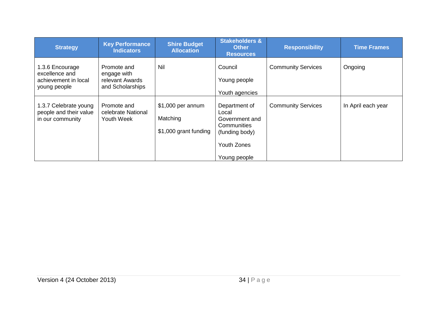| <b>Strategy</b>                                                           | <b>Key Performance</b><br><b>Indicators</b>                       | <b>Shire Budget</b><br><b>Allocation</b>               | <b>Stakeholders &amp;</b><br><b>Other</b><br><b>Resources</b>                                                   | <b>Responsibility</b>     | <b>Time Frames</b> |
|---------------------------------------------------------------------------|-------------------------------------------------------------------|--------------------------------------------------------|-----------------------------------------------------------------------------------------------------------------|---------------------------|--------------------|
| 1.3.6 Encourage<br>excellence and<br>achievement in local<br>young people | Promote and<br>engage with<br>relevant Awards<br>and Scholarships | Nil                                                    | Council<br>Young people<br>Youth agencies                                                                       | <b>Community Services</b> | Ongoing            |
| 1.3.7 Celebrate young<br>people and their value<br>in our community       | Promote and<br>celebrate National<br>Youth Week                   | \$1,000 per annum<br>Matching<br>\$1,000 grant funding | Department of<br>Local<br>Government and<br>Communities<br>(funding body)<br><b>Youth Zones</b><br>Young people | <b>Community Services</b> | In April each year |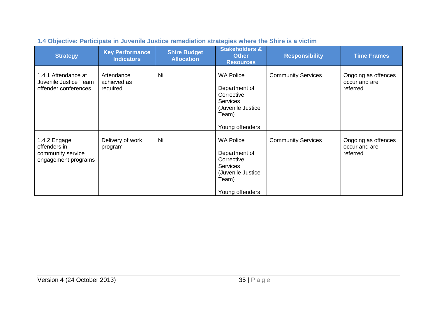<span id="page-34-0"></span>

| <b>Strategy</b>                                                          | <b>Key Performance</b><br><b>Indicators</b> | <b>Shire Budget</b><br><b>Allocation</b> | <b>Stakeholders &amp;</b><br><b>Other</b><br><b>Resources</b>                                                        | <b>Responsibility</b>     | <b>Time Frames</b>                               |
|--------------------------------------------------------------------------|---------------------------------------------|------------------------------------------|----------------------------------------------------------------------------------------------------------------------|---------------------------|--------------------------------------------------|
| 1.4.1 Attendance at<br>Juvenile Justice Team<br>offender conferences     | Attendance<br>achieved as<br>required       | <b>Nil</b>                               | <b>WA Police</b><br>Department of<br>Corrective<br><b>Services</b><br>(Juvenile Justice<br>Team)<br>Young offenders  | <b>Community Services</b> | Ongoing as offences<br>occur and are<br>referred |
| 1.4.2 Engage<br>offenders in<br>community service<br>engagement programs | Delivery of work<br>program                 | <b>Nil</b>                               | <b>WA Police</b><br>Department of<br>Corrective<br><b>Services</b><br>(Juvenile Justice)<br>Team)<br>Young offenders | <b>Community Services</b> | Ongoing as offences<br>occur and are<br>referred |

# **1.4 Objective: Participate in Juvenile Justice remediation strategies where the Shire is a victim**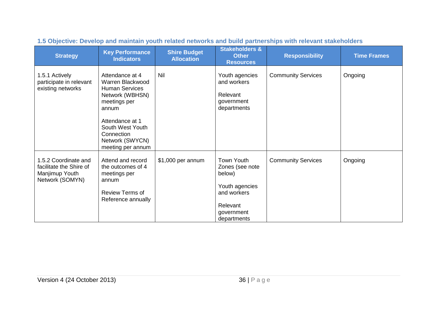<span id="page-35-0"></span>

| <b>Strategy</b>                                                                      | <b>Key Performance</b><br><b>Indicators</b>                                                                                                                                                           | <b>Shire Budget</b><br><b>Allocation</b> | <b>Stakeholders &amp;</b><br><b>Other</b><br><b>Resources</b>                                                            | <b>Responsibility</b>     | <b>Time Frames</b> |
|--------------------------------------------------------------------------------------|-------------------------------------------------------------------------------------------------------------------------------------------------------------------------------------------------------|------------------------------------------|--------------------------------------------------------------------------------------------------------------------------|---------------------------|--------------------|
| 1.5.1 Actively<br>participate in relevant<br>existing networks                       | Attendance at 4<br>Warren Blackwood<br><b>Human Services</b><br>Network (WBHSN)<br>meetings per<br>annum<br>Attendance at 1<br>South West Youth<br>Connection<br>Network (SWYCN)<br>meeting per annum | Nil                                      | Youth agencies<br>and workers<br>Relevant<br>government<br>departments                                                   | <b>Community Services</b> | Ongoing            |
| 1.5.2 Coordinate and<br>facilitate the Shire of<br>Manjimup Youth<br>Network (SOMYN) | Attend and record<br>the outcomes of 4<br>meetings per<br>annum<br><b>Review Terms of</b><br>Reference annually                                                                                       | \$1,000 per annum                        | <b>Town Youth</b><br>Zones (see note<br>below)<br>Youth agencies<br>and workers<br>Relevant<br>government<br>departments | <b>Community Services</b> | Ongoing            |

# **1.5 Objective: Develop and maintain youth related networks and build partnerships with relevant stakeholders**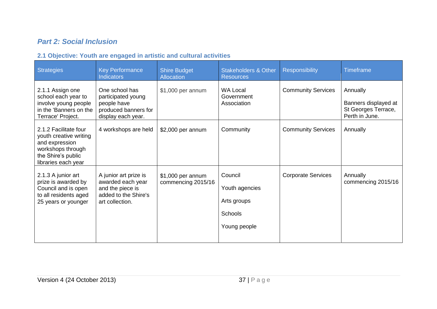# *Part 2: Social Inclusion*

# **2.1 Objective: Youth are engaged in artistic and cultural activities**

<span id="page-36-1"></span><span id="page-36-0"></span>

| <b>Strategies</b>                                                                                                                   | <b>Key Performance</b><br><b>Indicators</b>                                                               | <b>Shire Budget</b><br>Allocation        | <b>Stakeholders &amp; Other</b><br><b>Resources</b>                 | Responsibility            | <b>Timeframe</b>                                                          |
|-------------------------------------------------------------------------------------------------------------------------------------|-----------------------------------------------------------------------------------------------------------|------------------------------------------|---------------------------------------------------------------------|---------------------------|---------------------------------------------------------------------------|
| 2.1.1 Assign one<br>school each year to<br>involve young people<br>in the 'Banners on the<br>Terrace' Project.                      | One school has<br>participated young<br>people have<br>produced banners for<br>display each year.         | \$1,000 per annum                        | <b>WA Local</b><br>Government<br>Association                        | <b>Community Services</b> | Annually<br>Banners displayed at<br>St Georges Terrace,<br>Perth in June. |
| 2.1.2 Facilitate four<br>youth creative writing<br>and expression<br>workshops through<br>the Shire's public<br>libraries each year | 4 workshops are held                                                                                      | \$2,000 per annum                        | Community                                                           | <b>Community Services</b> | Annually                                                                  |
| 2.1.3 A junior art<br>prize is awarded by<br>Council and is open<br>to all residents aged<br>25 years or younger                    | A junior art prize is<br>awarded each year<br>and the piece is<br>added to the Shire's<br>art collection. | $$1,000$ per annum<br>commencing 2015/16 | Council<br>Youth agencies<br>Arts groups<br>Schools<br>Young people | <b>Corporate Services</b> | Annually<br>commencing 2015/16                                            |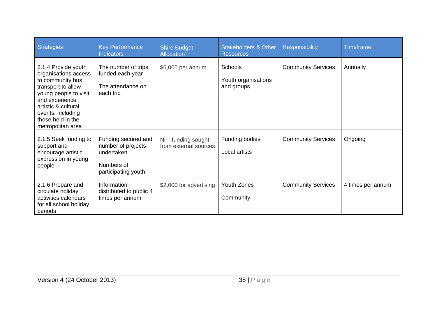| <b>Strategies</b>                                                                                                                                                                                                      | <b>Key Performance</b><br><b>Indicators</b>                                                  | <b>Shire Budget</b><br><b>Allocation</b>      | <b>Stakeholders &amp; Other</b><br><b>Resources</b> | <b>Responsibility</b>     | <b>Timeframe</b>  |
|------------------------------------------------------------------------------------------------------------------------------------------------------------------------------------------------------------------------|----------------------------------------------------------------------------------------------|-----------------------------------------------|-----------------------------------------------------|---------------------------|-------------------|
| 2.1.4 Provide youth<br>organisations access<br>to community bus<br>transport to allow<br>young people to visit<br>and experience<br>artistic & cultural<br>events, including<br>those held in the<br>metropolitan area | The number of trips<br>funded each year<br>The attendance on<br>each trip                    | \$6,000 per annum                             | Schools<br>Youth organisations<br>and groups        | <b>Community Services</b> | Annually          |
| 2.1.5 Seek funding to<br>support and<br>encourage artistic<br>expression in young<br>people                                                                                                                            | Funding secured and<br>number of projects<br>undertaken<br>Numbers of<br>participating youth | Nil - funding sought<br>from external sources | Funding bodies<br>Local artists                     | <b>Community Services</b> | Ongoing           |
| 2.1.6 Prepare and<br>circulate holiday<br>activities calendars<br>for all school holiday<br>periods                                                                                                                    | Information<br>distributed to public 4<br>times per annum                                    | \$2,000 for advertising                       | Youth Zones<br>Community                            | <b>Community Services</b> | 4 times per annum |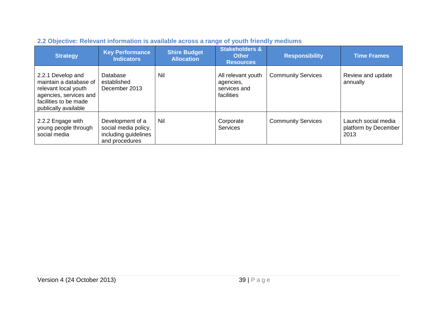<span id="page-38-0"></span>

| <b>Strategy</b>                                                                                                                                | <b>Key Performance</b><br><b>Indicators</b>                                        | <b>Shire Budget</b><br><b>Allocation</b> | <b>Stakeholders &amp;</b><br><b>Other</b><br><b>Resources</b> | <b>Responsibility</b>     | <b>Time Frames</b>                                  |
|------------------------------------------------------------------------------------------------------------------------------------------------|------------------------------------------------------------------------------------|------------------------------------------|---------------------------------------------------------------|---------------------------|-----------------------------------------------------|
| 2.2.1 Develop and<br>maintain a database of<br>relevant local youth<br>agencies, services and<br>facilities to be made<br>publically available | Database<br>established<br>December 2013                                           | Nil                                      | All relevant youth<br>agencies,<br>services and<br>facilities | <b>Community Services</b> | Review and update<br>annually                       |
| 2.2.2 Engage with<br>young people through<br>social media                                                                                      | Development of a<br>social media policy,<br>including guidelines<br>and procedures | Nil                                      | Corporate<br><b>Services</b>                                  | <b>Community Services</b> | Launch social media<br>platform by December<br>2013 |

# **2.2 Objective: Relevant information is available across a range of youth friendly mediums**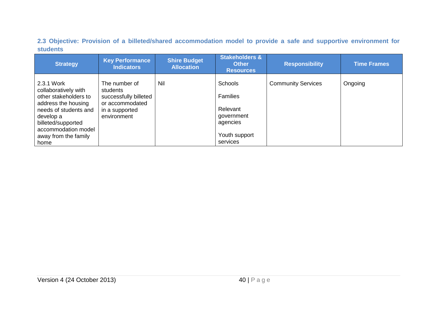**2.3 Objective: Provision of a billeted/shared accommodation model to provide a safe and supportive environment for students**

<span id="page-39-0"></span>

| <b>Strategy</b>                                                                                                                                                                                       | <b>Key Performance</b><br><b>Indicators</b>                                                            | <b>Shire Budget</b><br><b>Allocation</b> | <b>Stakeholders &amp;</b><br><b>Other</b><br><b>Resources</b>                                        | <b>Responsibility</b>     | <b>Time Frames</b> |
|-------------------------------------------------------------------------------------------------------------------------------------------------------------------------------------------------------|--------------------------------------------------------------------------------------------------------|------------------------------------------|------------------------------------------------------------------------------------------------------|---------------------------|--------------------|
| 2.3.1 Work<br>collaboratively with<br>other stakeholders to<br>address the housing<br>needs of students and<br>develop a<br>billeted/supported<br>accommodation model<br>away from the family<br>home | The number of<br>students<br>successfully billeted<br>or accommodated<br>in a supported<br>environment | Nil                                      | <b>Schools</b><br><b>Families</b><br>Relevant<br>government<br>agencies<br>Youth support<br>services | <b>Community Services</b> | Ongoing            |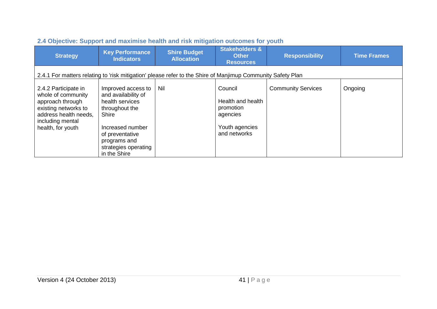<span id="page-40-0"></span>

| <b>Strategy</b>                                                                                                                                          | <b>Key Performance</b><br><b>Indicators</b>                                                                                                                                            | <b>Shire Budget</b><br><b>Allocation</b> | <b>Stakeholders &amp;</b><br><b>Other</b><br><b>Resources</b>                           | <b>Responsibility</b>     | <b>Time Frames</b> |  |  |  |  |
|----------------------------------------------------------------------------------------------------------------------------------------------------------|----------------------------------------------------------------------------------------------------------------------------------------------------------------------------------------|------------------------------------------|-----------------------------------------------------------------------------------------|---------------------------|--------------------|--|--|--|--|
|                                                                                                                                                          | 2.4.1 For matters relating to 'risk mitigation' please refer to the Shire of Manjimup Community Safety Plan                                                                            |                                          |                                                                                         |                           |                    |  |  |  |  |
| 2.4.2 Participate in<br>whole of community<br>approach through<br>existing networks to<br>address health needs,<br>including mental<br>health, for youth | Improved access to<br>and availability of<br>health services<br>throughout the<br>Shire<br>Increased number<br>of preventative<br>programs and<br>strategies operating<br>in the Shire | Nil                                      | Council<br>Health and health<br>promotion<br>agencies<br>Youth agencies<br>and networks | <b>Community Services</b> | Ongoing            |  |  |  |  |

# **2.4 Objective: Support and maximise health and risk mitigation outcomes for youth**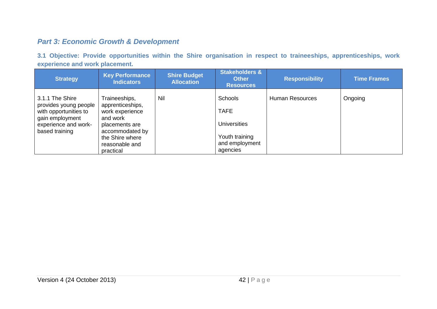# *Part 3: Economic Growth & Development*

**3.1 Objective: Provide opportunities within the Shire organisation in respect to traineeships, apprenticeships, work experience and work placement.**

<span id="page-41-1"></span><span id="page-41-0"></span>

| <b>Strategy</b>                                                                                                                | <b>Key Performance</b><br><b>Indicators</b>                                                                                                             | <b>Shire Budget</b><br><b>Allocation</b> | <b>Stakeholders &amp;</b><br><b>Other</b><br><b>Resources</b>                                 | <b>Responsibility</b>  | <b>Time Frames</b> |
|--------------------------------------------------------------------------------------------------------------------------------|---------------------------------------------------------------------------------------------------------------------------------------------------------|------------------------------------------|-----------------------------------------------------------------------------------------------|------------------------|--------------------|
| 3.1.1 The Shire<br>provides young people<br>with opportunities to<br>gain employment<br>experience and work-<br>based training | Traineeships,<br>apprenticeships,<br>work experience<br>and work<br>placements are<br>accommodated by<br>the Shire where<br>reasonable and<br>practical | Nil                                      | Schools<br><b>TAFE</b><br><b>Universities</b><br>Youth training<br>and employment<br>agencies | <b>Human Resources</b> | Ongoing            |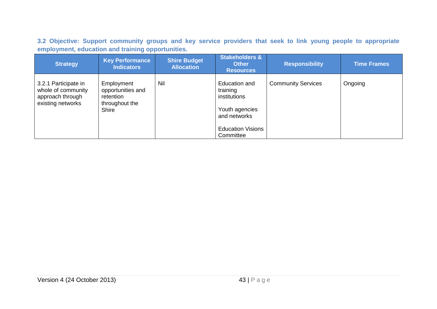**3.2 Objective: Support community groups and key service providers that seek to link young people to appropriate employment, education and training opportunities.** 

<span id="page-42-0"></span>

| <b>Strategy</b>                                                                     | <b>Key Performance</b><br><b>Indicators</b>                                    | <b>Shire Budget</b><br><b>Allocation</b> | <b>Stakeholders &amp;</b><br><b>Other</b><br><b>Resources</b>                                                        | <b>Responsibility</b>     | <b>Time Frames</b> |
|-------------------------------------------------------------------------------------|--------------------------------------------------------------------------------|------------------------------------------|----------------------------------------------------------------------------------------------------------------------|---------------------------|--------------------|
| 3.2.1 Participate in<br>whole of community<br>approach through<br>existing networks | Employment<br>opportunities and<br>retention<br>throughout the<br><b>Shire</b> | <b>Nil</b>                               | Education and<br>training<br>institutions<br>Youth agencies<br>and networks<br><b>Education Visions</b><br>Committee | <b>Community Services</b> | Ongoing            |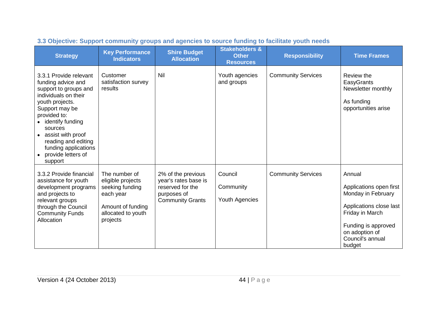<span id="page-43-0"></span>

| <b>Strategy</b>                                                                                                                                                                                                                                                                        | <b>Key Performance</b><br><b>Indicators</b>                                                                               | <b>Shire Budget</b><br><b>Allocation</b>                                                                 | <b>Stakeholders &amp;</b><br><b>Other</b><br><b>Resources</b> | <b>Responsibility</b>     | <b>Time Frames</b>                                                                                                                                                           |
|----------------------------------------------------------------------------------------------------------------------------------------------------------------------------------------------------------------------------------------------------------------------------------------|---------------------------------------------------------------------------------------------------------------------------|----------------------------------------------------------------------------------------------------------|---------------------------------------------------------------|---------------------------|------------------------------------------------------------------------------------------------------------------------------------------------------------------------------|
| 3.3.1 Provide relevant<br>funding advice and<br>support to groups and<br>individuals on their<br>youth projects.<br>Support may be<br>provided to:<br>identify funding<br>sources<br>assist with proof<br>reading and editing<br>funding applications<br>provide letters of<br>support | Customer<br>satisfaction survey<br>results                                                                                | Nil                                                                                                      | Youth agencies<br>and groups                                  | <b>Community Services</b> | Review the<br>EasyGrants<br>Newsletter monthly<br>As funding<br>opportunities arise                                                                                          |
| 3.3.2 Provide financial<br>assistance for youth<br>development programs<br>and projects to<br>relevant groups<br>through the Council<br><b>Community Funds</b><br>Allocation                                                                                                           | The number of<br>eligible projects<br>seeking funding<br>each year<br>Amount of funding<br>allocated to youth<br>projects | 2% of the previous<br>year's rates base is<br>reserved for the<br>purposes of<br><b>Community Grants</b> | Council<br>Community<br>Youth Agencies                        | <b>Community Services</b> | Annual<br>Applications open first<br>Monday in February<br>Applications close last<br>Friday in March<br>Funding is approved<br>on adoption of<br>Council's annual<br>budget |

# **3.3 Objective: Support community groups and agencies to source funding to facilitate youth needs**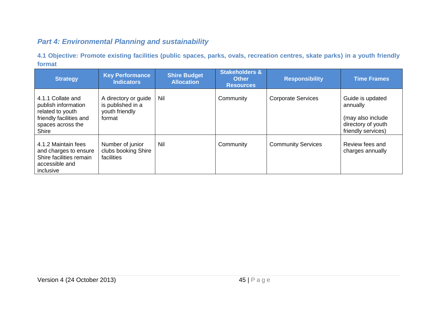# *Part 4: Environmental Planning and sustainability*

**4.1 Objective: Promote existing facilities (public spaces, parks, ovals, recreation centres, skate parks) in a youth friendly format**

<span id="page-44-1"></span><span id="page-44-0"></span>

| <b>Strategy</b>                                                                                                       | <b>Key Performance</b><br><b>Indicators</b>                           | <b>Shire Budget</b><br><b>Allocation</b> | <b>Stakeholders &amp;</b><br><b>Other</b><br><b>Resources</b> | <b>Responsibility</b>     | <b>Time Frames</b>                                                                            |
|-----------------------------------------------------------------------------------------------------------------------|-----------------------------------------------------------------------|------------------------------------------|---------------------------------------------------------------|---------------------------|-----------------------------------------------------------------------------------------------|
| 4.1.1 Collate and<br>publish information<br>related to youth<br>friendly facilities and<br>spaces across the<br>Shire | A directory or guide<br>is published in a<br>youth friendly<br>format | Nil                                      | Community                                                     | <b>Corporate Services</b> | Guide is updated<br>annually<br>(may also include<br>directory of youth<br>friendly services) |
| 4.1.2 Maintain fees<br>and charges to ensure<br>Shire facilities remain<br>accessible and<br>inclusive                | Number of junior<br>clubs booking Shire<br>facilities                 | Nil                                      | Community                                                     | <b>Community Services</b> | Review fees and<br>charges annually                                                           |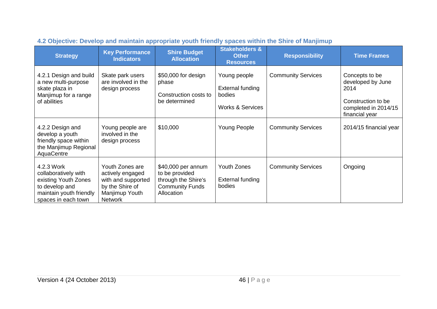<span id="page-45-0"></span>

| <b>Strategy</b>                                                                                                                | <b>Key Performance</b><br><b>Indicators</b>                                                                      | <b>Shire Budget</b><br><b>Allocation</b>                                                            | <b>Stakeholders &amp;</b><br><b>Other</b><br><b>Resources</b>             | <b>Responsibility</b>     | <b>Time Frames</b>                                                                                          |
|--------------------------------------------------------------------------------------------------------------------------------|------------------------------------------------------------------------------------------------------------------|-----------------------------------------------------------------------------------------------------|---------------------------------------------------------------------------|---------------------------|-------------------------------------------------------------------------------------------------------------|
| 4.2.1 Design and build<br>a new multi-purpose<br>skate plaza in<br>Manjimup for a range<br>of abilities                        | Skate park users<br>are involved in the<br>design process                                                        | \$50,000 for design<br>phase<br>Construction costs to<br>be determined                              | Young people<br>External funding<br>bodies<br><b>Works &amp; Services</b> | <b>Community Services</b> | Concepts to be<br>developed by June<br>2014<br>Construction to be<br>completed in 2014/15<br>financial year |
| 4.2.2 Design and<br>develop a youth<br>friendly space within<br>the Manjimup Regional<br>AquaCentre                            | Young people are<br>involved in the<br>design process                                                            | \$10,000                                                                                            | Young People                                                              | <b>Community Services</b> | 2014/15 financial year                                                                                      |
| 4.2.3 Work<br>collaboratively with<br>existing Youth Zones<br>to develop and<br>maintain youth friendly<br>spaces in each town | Youth Zones are<br>actively engaged<br>with and supported<br>by the Shire of<br>Manjimup Youth<br><b>Network</b> | \$40,000 per annum<br>to be provided<br>through the Shire's<br><b>Community Funds</b><br>Allocation | Youth Zones<br><b>External funding</b><br>bodies                          | <b>Community Services</b> | Ongoing                                                                                                     |

# **4.2 Objective: Develop and maintain appropriate youth friendly spaces within the Shire of Manjimup**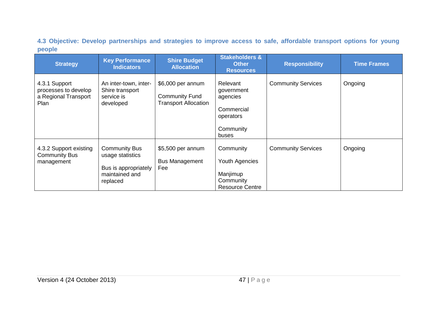**4.3 Objective: Develop partnerships and strategies to improve access to safe, affordable transport options for young people** 

<span id="page-46-0"></span>

| <b>Strategy</b>                                                       | <b>Key Performance</b><br><b>Indicators</b>                                                    | <b>Shire Budget</b><br><b>Allocation</b>                                  | <b>Stakeholders &amp;</b><br><b>Other</b><br><b>Resources</b>                       | <b>Responsibility</b>     | <b>Time Frames</b> |
|-----------------------------------------------------------------------|------------------------------------------------------------------------------------------------|---------------------------------------------------------------------------|-------------------------------------------------------------------------------------|---------------------------|--------------------|
| 4.3.1 Support<br>processes to develop<br>a Regional Transport<br>Plan | An inter-town, inter-<br>Shire transport<br>service is<br>developed                            | \$6,000 per annum<br><b>Community Fund</b><br><b>Transport Allocation</b> | Relevant<br>government<br>agencies<br>Commercial<br>operators<br>Community<br>buses | <b>Community Services</b> | Ongoing            |
| 4.3.2 Support existing<br><b>Community Bus</b><br>management          | <b>Community Bus</b><br>usage statistics<br>Bus is appropriately<br>maintained and<br>replaced | \$5,500 per annum<br><b>Bus Management</b><br>Fee                         | Community<br>Youth Agencies<br>Manjimup<br>Community<br><b>Resource Centre</b>      | <b>Community Services</b> | Ongoing            |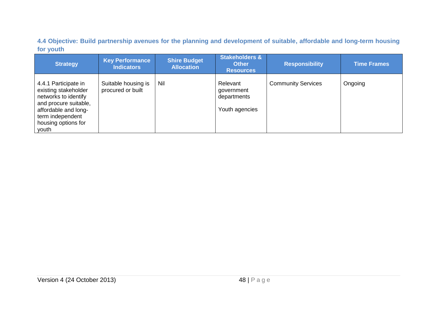**4.4 Objective: Build partnership avenues for the planning and development of suitable, affordable and long-term housing for youth**

<span id="page-47-0"></span>

| <b>Strategy</b>                                                                                                                                                           | <b>Key Performance</b><br><b>Indicators</b> | <b>Shire Budget</b><br><b>Allocation</b> | <b>Stakeholders &amp;</b><br><b>Other</b><br><b>Resources</b> | <b>Responsibility</b>     | <b>Time Frames</b> |
|---------------------------------------------------------------------------------------------------------------------------------------------------------------------------|---------------------------------------------|------------------------------------------|---------------------------------------------------------------|---------------------------|--------------------|
| 4.4.1 Participate in<br>existing stakeholder<br>networks to identify<br>and procure suitable,<br>affordable and long-<br>term independent<br>housing options for<br>youth | Suitable housing is<br>procured or built    | Nil                                      | Relevant<br>government<br>departments<br>Youth agencies       | <b>Community Services</b> | Ongoing            |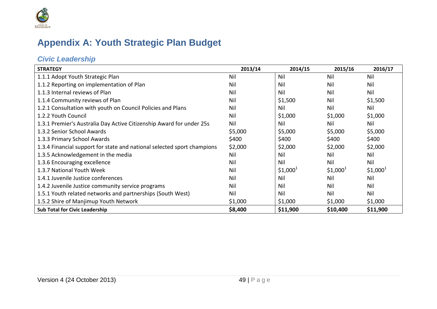

# **Appendix A: Youth Strategic Plan Budget**

# *Civic Leadership*

<span id="page-48-1"></span><span id="page-48-0"></span>

| <b>STRATEGY</b>                                                         | 2013/14 | 2014/15    | 2015/16    | 2016/17    |
|-------------------------------------------------------------------------|---------|------------|------------|------------|
| 1.1.1 Adopt Youth Strategic Plan                                        | Nil     | Nil        | Nil        | Nil        |
| 1.1.2 Reporting on implementation of Plan                               | Nil     | Nil        | Nil        | Nil        |
| 1.1.3 Internal reviews of Plan                                          | Nil     | Nil        | Nil        | Nil        |
| 1.1.4 Community reviews of Plan                                         | Nil     | \$1,500    | Nil        | \$1,500    |
| 1.2.1 Consultation with youth on Council Policies and Plans             | Nil     | Nil        | Nil        | Nil        |
| 1.2.2 Youth Council                                                     | Nil     | \$1,000    | \$1,000    | \$1,000    |
| 1.3.1 Premier's Australia Day Active Citizenship Award for under 25s    | Nil     | Nil        | Nil        | Nil        |
| 1.3.2 Senior School Awards                                              | \$5,000 | \$5,000    | \$5,000    | \$5,000    |
| 1.3.3 Primary School Awards                                             | \$400   | \$400      | \$400      | \$400      |
| 1.3.4 Financial support for state and national selected sport champions | \$2,000 | \$2,000    | \$2,000    | \$2,000    |
| 1.3.5 Acknowledgement in the media                                      | Nil     | Nil        | Nil        | Nil        |
| 1.3.6 Encouraging excellence                                            | Nil     | Nil        | Nil        | Nil        |
| 1.3.7 National Youth Week                                               | Nil     | $$1,000^1$ | $$1,000^1$ | $$1,000^1$ |
| 1.4.1 Juvenile Justice conferences                                      | Nil     | Nil        | Nil        | Nil        |
| 1.4.2 Juvenile Justice community service programs                       | Nil     | Nil        | Nil        | Nil        |
| 1.5.1 Youth related networks and partnerships (South West)              | Nil     | Nil        | Nil        | Nil        |
| 1.5.2 Shire of Manjimup Youth Network                                   | \$1,000 | \$1,000    | \$1,000    | \$1,000    |
| <b>Sub Total for Civic Leadership</b>                                   | \$8,400 | \$11,900   | \$10,400   | \$11,900   |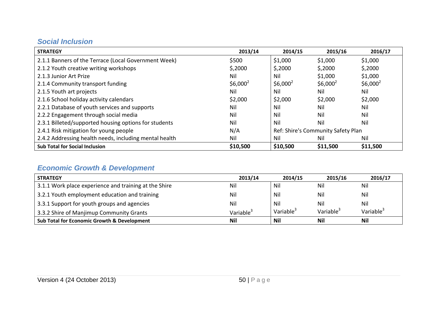# *Social Inclusion*

| <b>STRATEGY</b>                                        | 2013/14              | 2014/15              | 2015/16                            | 2016/17              |
|--------------------------------------------------------|----------------------|----------------------|------------------------------------|----------------------|
| 2.1.1 Banners of the Terrace (Local Government Week)   | \$500                | \$1,000              | \$1,000                            | \$1,000              |
| 2.1.2 Youth creative writing workshops                 | \$,2000              | \$,2000              | \$,2000                            | \$,2000              |
| 2.1.3 Junior Art Prize                                 | Nil                  | Nil                  | \$1,000                            | \$1,000              |
| 2.1.4 Community transport funding                      | \$6,000 <sup>2</sup> | \$6,000 <sup>2</sup> | \$6,000 <sup>2</sup>               | \$6,000 <sup>2</sup> |
| 2.1.5 Youth art projects                               | Nil                  | Nil                  | Nil                                | Nil                  |
| 2.1.6 School holiday activity calendars                | \$2,000              | \$2,000              | \$2,000                            | \$2,000              |
| 2.2.1 Database of youth services and supports          | Nil                  | Nil                  | Nil                                | Nil                  |
| 2.2.2 Engagement through social media                  | Nil                  | Nil                  | Nil                                | Nil                  |
| 2.3.1 Billeted/supported housing options for students  | Nil                  | Nil                  | Nil                                | Nil                  |
| 2.4.1 Risk mitigation for young people                 | N/A                  |                      | Ref: Shire's Community Safety Plan |                      |
| 2.4.2 Addressing health needs, including mental health | Nil                  | Nil                  | Nil                                | Nil                  |
| <b>Sub Total for Social Inclusion</b>                  | \$10,500             | \$10,500             | \$11,500                           | \$11,500             |

# <span id="page-49-0"></span>*Economic Growth & Development*

<span id="page-49-1"></span>

| <b>STRATEGY</b>                                        | 2013/14               | 2014/15               | 2015/16               | 2016/17               |
|--------------------------------------------------------|-----------------------|-----------------------|-----------------------|-----------------------|
| 3.1.1 Work place experience and training at the Shire  | Nil                   | Nil                   | Nil                   | Nil                   |
| 3.2.1 Youth employment education and training          | Nil                   | Nil                   | Nil                   | Nil                   |
| 3.3.1 Support for youth groups and agencies            | Nil                   | Nil                   | Nil                   | Nil                   |
| 3.3.2 Shire of Manjimup Community Grants               | Variable <sup>3</sup> | Variable <sup>3</sup> | Variable <sup>3</sup> | Variable <sup>3</sup> |
| <b>Sub Total for Economic Growth &amp; Development</b> | <b>Nil</b>            | Nil                   | Nil                   | <b>Nil</b>            |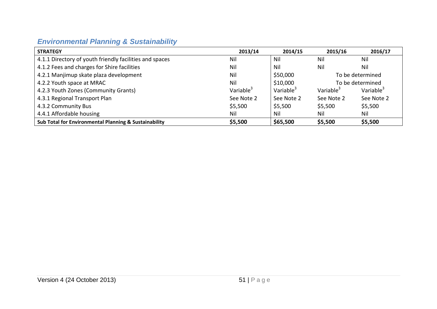# *Environmental Planning & Sustainability*

<span id="page-50-0"></span>

| <b>STRATEGY</b>                                         | 2013/14               | 2014/15               | 2015/16               | 2016/17               |
|---------------------------------------------------------|-----------------------|-----------------------|-----------------------|-----------------------|
| 4.1.1 Directory of youth friendly facilities and spaces | Nil                   | Nil                   | Nil                   | Nil                   |
| 4.1.2 Fees and charges for Shire facilities             | Nil                   | <b>Nil</b>            | Nil                   | Nil                   |
| 4.2.1 Manjimup skate plaza development                  | Nil                   | \$50,000              | To be determined      |                       |
| 4.2.2 Youth space at MRAC                               | Nil                   | \$10,000              | To be determined      |                       |
| 4.2.3 Youth Zones (Community Grants)                    | Variable <sup>3</sup> | Variable <sup>3</sup> | Variable <sup>3</sup> | Variable <sup>3</sup> |
| 4.3.1 Regional Transport Plan                           | See Note 2            | See Note 2            | See Note 2            | See Note 2            |
| 4.3.2 Community Bus                                     | \$5,500               | \$5,500               | \$5,500               | \$5,500               |
| 4.4.1 Affordable housing                                | Nil                   | Nil                   | Nil                   | Nil                   |
| Sub Total for Environmental Planning & Sustainability   | \$5,500               | \$65,500              | \$5,500               | \$5,500               |